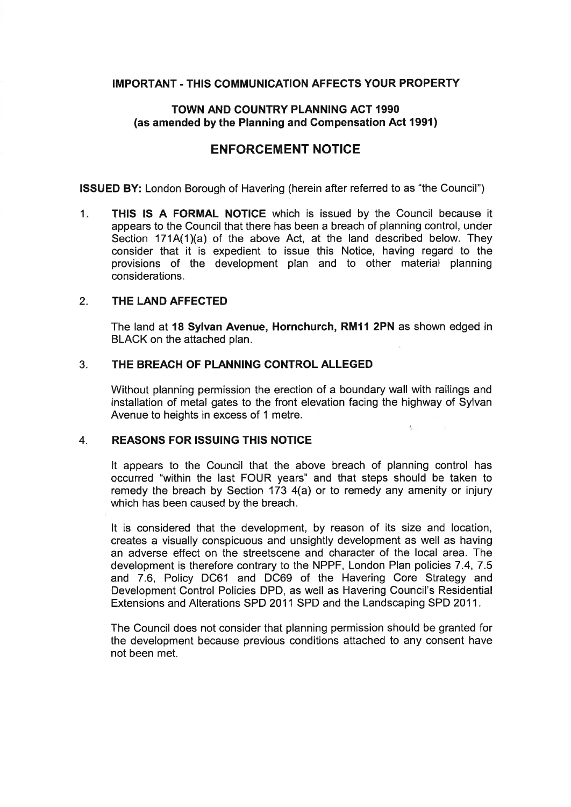## **IMPORTANT**- **THlS COMMUNICATION AFFECTS YOUR PROPERTY**

# **TOWN AND COUNTRY PLANNING ACT 1990 (as amended by the Planning and Compensation Act 1991)**

# **ENFORCEMENT NOTICE**

**ISSUED BY:** London Borough of Havering (herein after referred to as "the Council")

1. **THlS IS A FORMAL NOTICE** which is issued by the Council because it appears to the Council that there has been a breach of planning control, under Section 171A(1)(a) of the above Act, at the land described below. They consider that it is expedient to issue this Notice, having regard to the provisions of the development plan and to other material planning considerations.

### 2. **THE LAND AFFECTED**

The land at **18 Sylvan Avenue, Hornchurch, RMII 2PN** as shown edged in BLACK on the attached plan.

#### 3. **THE BREACH OF PLANNING CONTROL ALLEGED**

Without planning permission the erection of a boundary wall with railings and installation of metal gates to the front elevation facing the highway of Sylvan Avenue to heights in excess of 1 metre.

 $b = -1$ 

#### **4. REASONS FOR ISSUING THlS NOTICE**

It appears to the Council that the above breach of planning control has occurred "within the last FOUR years" and that steps should be taken to remedy the breach by Section 173 4(a) or to remedy any amenity or injury which has been caused by the breach.

It is considered that the development, by reason of its size and location, creates a visually conspicuous and unsightly development as well as having an adverse effect on the streetscene and character of the local area. The development is therefore contrary to the NPPF, London Plan policies 7.4, 7.5 and 7.6, Policy DC61 and DC69 of the Havering Core Strategy and Development Control Policies DPD, as well as Havering Council's Residential Extensions and Alterations SPD 2011 SPD and the Landscaping SPD 2011.

The Council does not consider that planning permission should be granted for the development because previous conditions attached to any consent have not been met.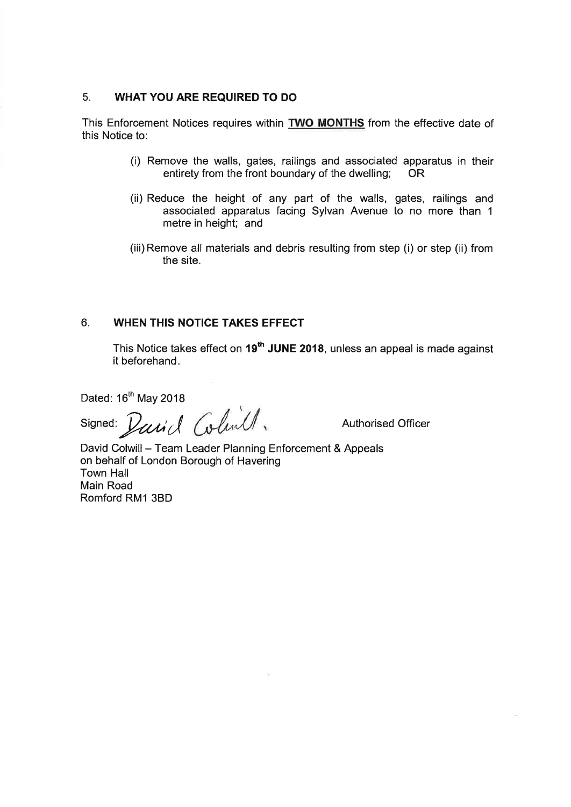### 5. **WHAT YOU ARE REQUIRED TO DO**

This Enforcement Notices requires within **TWO MONTHS** from the effective date of this Notice to:

- (i) Remove the walls, gates, railings and associated apparatus in their entirety from the front boundary of the dwelling;
- (ii) Reduce the height of any part of the walls, gates, railings and associated apparatus facing Sylvan Avenue to no more than 1 metre in height; and
- (iii) Remove all materials and debris resulting from step (i) or step (ii) from the site.

### 6. **WHEN THIS NOTICE TAKES EFFECT**

This Notice takes effect on 19<sup>th</sup> JUNE 2018, unless an appeal is made against it beforehand.

Dated: 16<sup>th</sup> May 2018<br>Signed:  $Du/d$  Colin U.

Authorised Officer

David Colwill - Team Leader Planning Enforcement & Appeals on behalf of London Borough of Havering Town Hall Main Road Romford RMI 3BD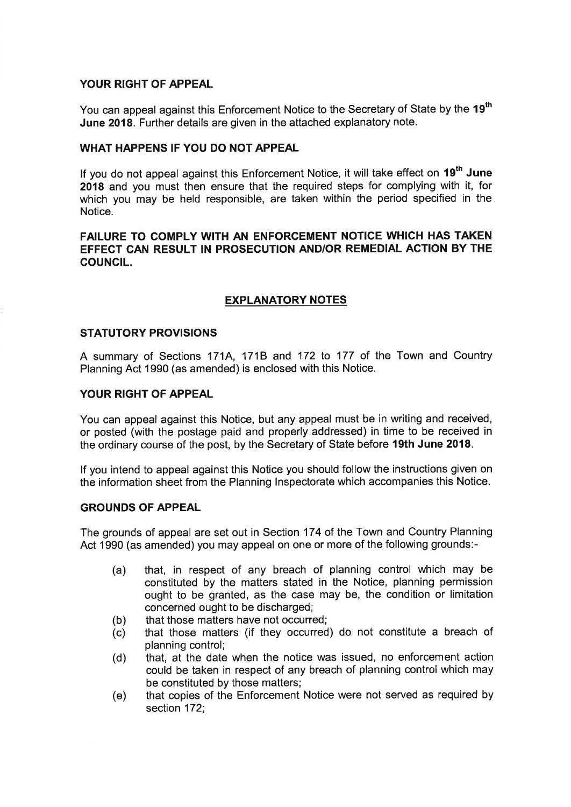### **YOUR RIGHT OF APPEAL**

You can appeal against this Enforcement Notice to the Secretary of State by the 19<sup>th</sup> June 2018. Further details are given in the attached explanatory note.

### **WHAT HAPPENS IF YOU DO NOT APPEAL**

If you do not appeal against this Enforcement Notice, it will take effect on 19<sup>th</sup> June **2018** and you must then ensure that the required steps for complying with it, for which you may be held responsible, are taken within the period specified in the Notice.

# **FAILURE TO COMPLY WITH AN ENFORCEMENT NOTICE WHICH HAS TAKEN EFFECT CAN RESULT IN PROSECUTION ANDlOR REMEDIAL ACTION BY THE COUNCIL.**

# **EXPLANATORY NOTES**

### **STATUTORY PROVISIONS**

A summary of Sections 171A, 171B and 172 to 177 of the Town and Country Planning Act 1990 (as amended) is enclosed with this Notice.

### **YOUR RIGHT OF APPEAL**

You can appeal against this Notice, but any appeal must be in writing and received, or posted (with the postage paid and properly addressed) in time to be received in the ordinary course of the post, by the Secretary of State before **19th June 2018.** 

If you intend to appeal against this Notice you should follow the instructions given on the information sheet from the Planning Inspectorate which accompanies this Notice.

#### **GROUNDS OF APPEAL**

The grounds of appeal are set out in Section 174 of the Town and Country Planning Act 1990 (as amended) you may appeal on one or more of the following grounds:-

- (a) that, in respect of any breach of planning control which may be constituted by the matters stated in the Notice, planning permission ought to be granted, as the case may be, the condition or limitation concerned ought to be discharged;
- (b) that those matters have not occurred;<br>(c) that those matters (if they occurred
- that those matters (if they occurred) do not constitute a breach of planning control;
- (d) that, at the date when the notice was issued, no enforcement action could be taken in respect of any breach of planning control which may be constituted by those matters;
- (e) that copies of the Enforcement Notice were not served as required by section 172;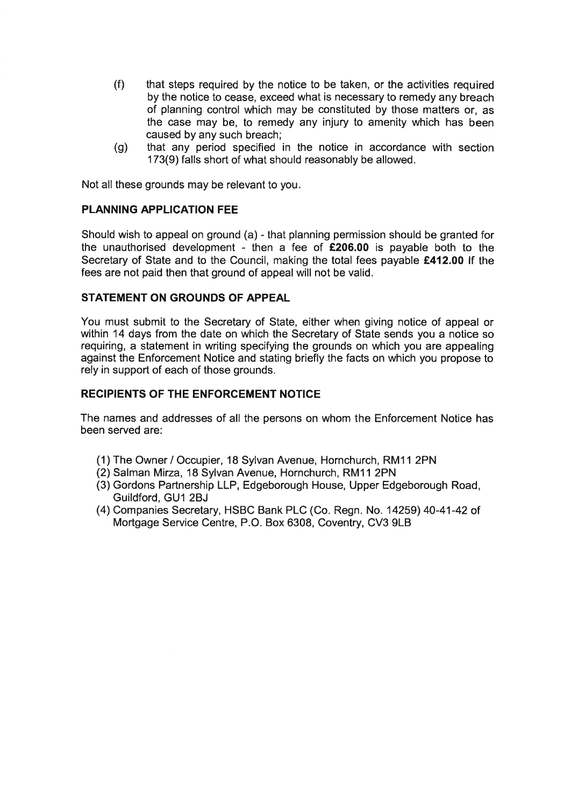- (f) that steps required by the notice to be taken, or the activities required by the notice to cease, exceed what is necessary to remedy any breach of planning control which may be constituted by those matters or, as the case may be, to remedy any injury to amenity which has been caused by any such breach;
- (g) that any period specified in the notice in accordance with section 173(9) falls short of what should reasonably be allowed.

Not all these grounds may be relevant to you.

# **PLANNING APPLICATION FEE**

Should wish to appeal on ground (a) - that planning permission should be granted for the unauthorised development - then a fee of **f206.00** is payable both to the Secretary of State and to the Council, making the total fees payable **f412.00** If the fees are not paid then that ground of appeal will not be valid.

## **STATEMENT ON GROUNDS OF APPEAL**

You must submit to the Secretary of State, either when giving notice of appeal or within 14 days from the date on which the Secretary of State sends you a notice so requiring, a statement in writing specifying the grounds on which you are appealing against the Enforcement Notice and stating briefly the facts on which you propose to rely in support of each of those grounds.

## **RECIPIENTS OF THE ENFORCEMENT NOTICE**

The names and addresses of all the persons on whom the Enforcement Notice has been served are:

- (1) The Owner / Occupier, 18 Sylvan Avenue, Hornchurch, RM11 2PN
- (2) Salman Mirza, 18 Sylvan Avenue, Hornchurch, RM11 2PN
- (3) Gordons Partnership LLP, Edgeborough House, Upper Edgeborough Road, Guildford, GU1 2BJ
- (4) Companies Secretary, HSBC Bank PLC (Co. Regn. No. 14259) 40-41 -42 of Mortgage Service Centre, P.O. Box 6308, Coventry, CV3 9LB